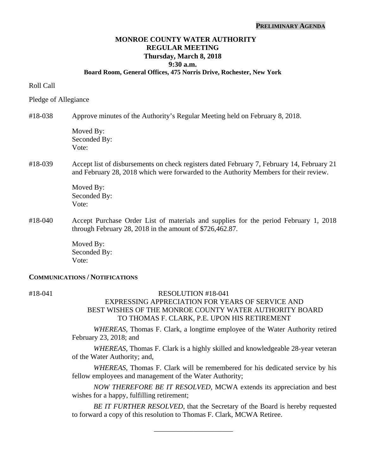#### **PRELIMINARY AGENDA**

# **MONROE COUNTY WATER AUTHORITY REGULAR MEETING Thursday, March 8, 2018 9:30 a.m.**

#### **Board Room, General Offices, 475 Norris Drive, Rochester, New York**

#### Roll Call

#### Pledge of Allegiance

#### #18-038 Approve minutes of the Authority's Regular Meeting held on February 8, 2018.

Moved By: Seconded By: Vote:

### #18-039 Accept list of disbursements on check registers dated February 7, February 14, February 21 and February 28, 2018 which were forwarded to the Authority Members for their review.

 Moved By: Seconded By: Vote:

#18-040 Accept Purchase Order List of materials and supplies for the period February 1, 2018 through February 28, 2018 in the amount of \$726,462.87.

> Moved By: Seconded By: Vote:

#### **COMMUNICATIONS / NOTIFICATIONS**

#### #18-041 RESOLUTION #18-041

### EXPRESSING APPRECIATION FOR YEARS OF SERVICE AND BEST WISHES OF THE MONROE COUNTY WATER AUTHORITY BOARD TO THOMAS F. CLARK, P.E. UPON HIS RETIREMENT

*WHEREAS*, Thomas F. Clark, a longtime employee of the Water Authority retired February 23, 2018; and

*WHEREAS*, Thomas F. Clark is a highly skilled and knowledgeable 28-year veteran of the Water Authority; and,

*WHEREAS*, Thomas F. Clark will be remembered for his dedicated service by his fellow employees and management of the Water Authority;

*NOW THEREFORE BE IT RESOLVED,* MCWA extends its appreciation and best wishes for a happy, fulfilling retirement;

*BE IT FURTHER RESOLVED*, that the Secretary of the Board is hereby requested to forward a copy of this resolution to Thomas F. Clark, MCWA Retiree.

\_\_\_\_\_\_\_\_\_\_\_\_\_\_\_\_\_\_\_\_\_\_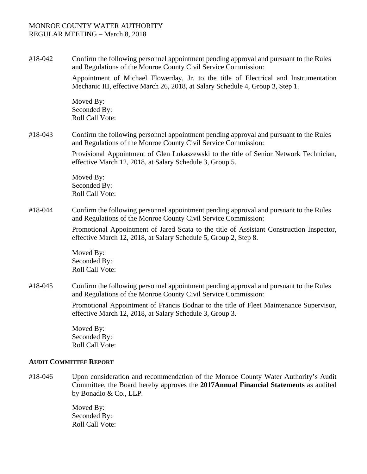#18-042 Confirm the following personnel appointment pending approval and pursuant to the Rules and Regulations of the Monroe County Civil Service Commission:

> Appointment of Michael Flowerday, Jr. to the title of Electrical and Instrumentation Mechanic III, effective March 26, 2018, at Salary Schedule 4, Group 3, Step 1.

Moved By: Seconded By: Roll Call Vote:

#18-043 Confirm the following personnel appointment pending approval and pursuant to the Rules and Regulations of the Monroe County Civil Service Commission:

> Provisional Appointment of Glen Lukaszewski to the title of Senior Network Technician, effective March 12, 2018, at Salary Schedule 3, Group 5.

Moved By: Seconded By: Roll Call Vote:

#18-044 Confirm the following personnel appointment pending approval and pursuant to the Rules and Regulations of the Monroe County Civil Service Commission:

> Promotional Appointment of Jared Scata to the title of Assistant Construction Inspector, effective March 12, 2018, at Salary Schedule 5, Group 2, Step 8.

Moved By: Seconded By: Roll Call Vote:

#18-045 Confirm the following personnel appointment pending approval and pursuant to the Rules and Regulations of the Monroe County Civil Service Commission:

> Promotional Appointment of Francis Bodnar to the title of Fleet Maintenance Supervisor, effective March 12, 2018, at Salary Schedule 3, Group 3.

Moved By: Seconded By: Roll Call Vote:

### **AUDIT COMMITTEE REPORT**

#18-046 Upon consideration and recommendation of the Monroe County Water Authority's Audit Committee, the Board hereby approves the **2017Annual Financial Statements** as audited by Bonadio & Co., LLP.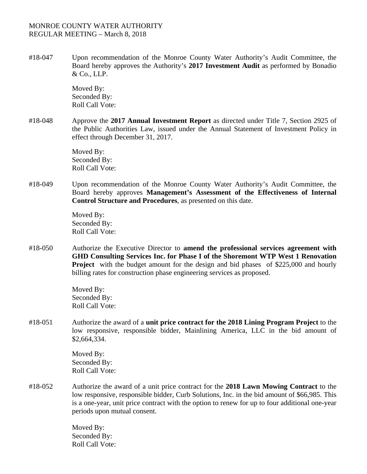#18-047 Upon recommendation of the Monroe County Water Authority's Audit Committee, the Board hereby approves the Authority's **2017 Investment Audit** as performed by Bonadio & Co., LLP.

> Moved By: Seconded By: Roll Call Vote:

#18-048 Approve the **2017 Annual Investment Report** as directed under Title 7, Section 2925 of the Public Authorities Law, issued under the Annual Statement of Investment Policy in effect through December 31, 2017.

> Moved By: Seconded By: Roll Call Vote:

#18-049 Upon recommendation of the Monroe County Water Authority's Audit Committee, the Board hereby approves **Management's Assessment of the Effectiveness of Internal Control Structure and Procedures**, as presented on this date.

> Moved By: Seconded By: Roll Call Vote:

#18-050 Authorize the Executive Director to **amend the professional services agreement with GHD Consulting Services Inc. for Phase I of the Shoremont WTP West 1 Renovation Project** with the budget amount for the design and bid phases of \$225,000 and hourly billing rates for construction phase engineering services as proposed.

> Moved By: Seconded By: Roll Call Vote:

#18-051 Authorize the award of a **unit price contract for the 2018 Lining Program Project** to the low responsive, responsible bidder, Mainlining America, LLC in the bid amount of \$2,664,334.

> Moved By: Seconded By: Roll Call Vote:

#18-052 Authorize the award of a unit price contract for the **2018 Lawn Mowing Contract** to the low responsive, responsible bidder, Curb Solutions, Inc. in the bid amount of \$66,985. This is a one-year, unit price contract with the option to renew for up to four additional one-year periods upon mutual consent.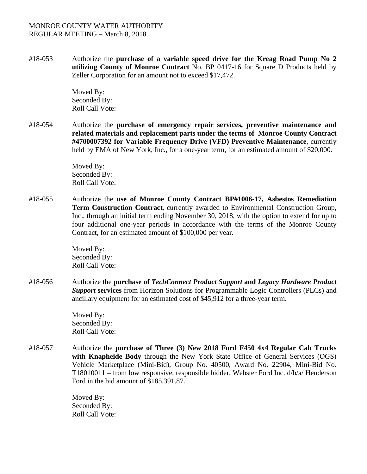#18-053 Authorize the **purchase of a variable speed drive for the Kreag Road Pump No 2 utilizing County of Monroe Contract** No. BP 0417-16 for Square D Products held by Zeller Corporation for an amount not to exceed \$17,472.

> Moved By: Seconded By: Roll Call Vote:

#18-054 Authorize the **purchase of emergency repair services, preventive maintenance and related materials and replacement parts under the terms of Monroe County Contract #4700007392 for Variable Frequency Drive (VFD) Preventive Maintenance**, currently held by EMA of New York, Inc., for a one-year term, for an estimated amount of \$20,000.

> Moved By: Seconded By: Roll Call Vote:

#18-055 Authorize the **use of Monroe County Contract BP#1006-17, Asbestos Remediation Term Construction Contract**, currently awarded to Environmental Construction Group, Inc., through an initial term ending November 30, 2018, with the option to extend for up to four additional one-year periods in accordance with the terms of the Monroe County Contract, for an estimated amount of \$100,000 per year.

> Moved By: Seconded By: Roll Call Vote:

#18-056 Authorize the **purchase of** *TechConnect Product Support* **and** *Legacy Hardware Product Support* **services** from Horizon Solutions for Programmable Logic Controllers (PLCs) and ancillary equipment for an estimated cost of \$45,912 for a three-year term.

> Moved By: Seconded By: Roll Call Vote:

#18-057 Authorize the **purchase of Three (3) New 2018 Ford F450 4x4 Regular Cab Trucks with Knapheide Body** through the New York State Office of General Services (OGS) Vehicle Marketplace (Mini-Bid), Group No. 40500, Award No. 22904, Mini-Bid No. T18010011 – from low responsive, responsible bidder, Webster Ford Inc. d/b/a/ Henderson Ford in the bid amount of \$185,391.87.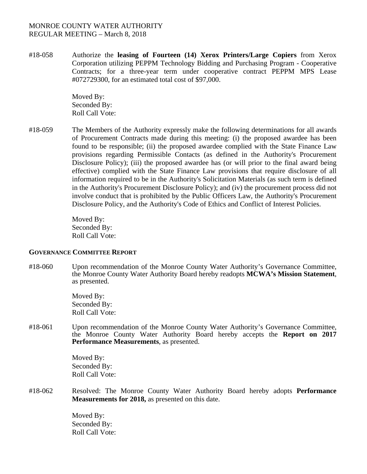#18-058Authorize the **leasing of Fourteen (14) Xerox Printers/Large Copiers** from Xerox Corporation utilizing PEPPM Technology Bidding and Purchasing Program - Cooperative Contracts; for a three-year term under cooperative contract PEPPM MPS Lease #072729300, for an estimated total cost of \$97,000.

> Moved By: Seconded By: Roll Call Vote:

#18-059 The Members of the Authority expressly make the following determinations for all awards of Procurement Contracts made during this meeting: (i) the proposed awardee has been found to be responsible; (ii) the proposed awardee complied with the State Finance Law provisions regarding Permissible Contacts (as defined in the Authority's Procurement Disclosure Policy); (iii) the proposed awardee has (or will prior to the final award being effective) complied with the State Finance Law provisions that require disclosure of all information required to be in the Authority's Solicitation Materials (as such term is defined in the Authority's Procurement Disclosure Policy); and (iv) the procurement process did not involve conduct that is prohibited by the Public Officers Law, the Authority's Procurement Disclosure Policy, and the Authority's Code of Ethics and Conflict of Interest Policies.

> Moved By: Seconded By: Roll Call Vote:

#### **GOVERNANCE COMMITTEE REPORT**

#18-060 Upon recommendation of the Monroe County Water Authority's Governance Committee, the Monroe County Water Authority Board hereby readopts **MCWA's Mission Statement**, as presented.

> Moved By: Seconded By: Roll Call Vote:

#18-061 Upon recommendation of the Monroe County Water Authority's Governance Committee, the Monroe County Water Authority Board hereby accepts the **Report on 2017 Performance Measurements**, as presented.

> Moved By: Seconded By: Roll Call Vote:

#18-062 Resolved: The Monroe County Water Authority Board hereby adopts **Performance Measurements for 2018,** as presented on this date.